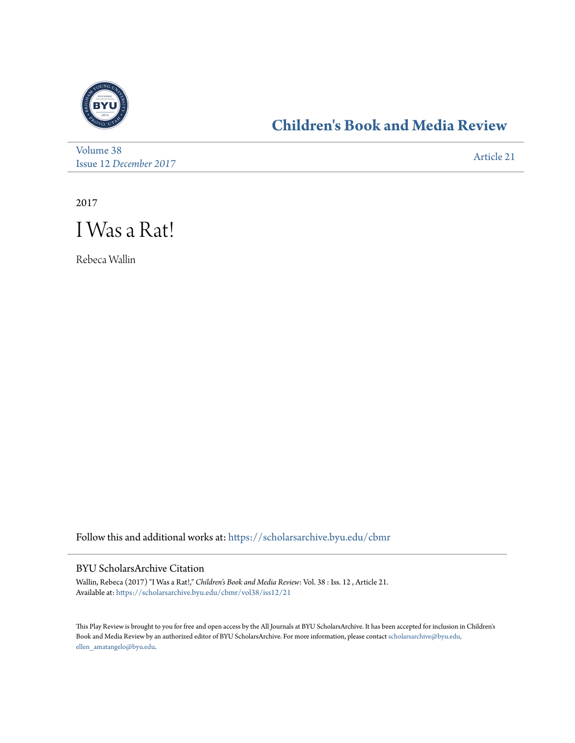

## **[Children's Book and Media Review](https://scholarsarchive.byu.edu/cbmr?utm_source=scholarsarchive.byu.edu%2Fcbmr%2Fvol38%2Fiss12%2F21&utm_medium=PDF&utm_campaign=PDFCoverPages)**

[Volume 38](https://scholarsarchive.byu.edu/cbmr/vol38?utm_source=scholarsarchive.byu.edu%2Fcbmr%2Fvol38%2Fiss12%2F21&utm_medium=PDF&utm_campaign=PDFCoverPages) Issue 12 *[December 2017](https://scholarsarchive.byu.edu/cbmr/vol38/iss12?utm_source=scholarsarchive.byu.edu%2Fcbmr%2Fvol38%2Fiss12%2F21&utm_medium=PDF&utm_campaign=PDFCoverPages)* [Article 21](https://scholarsarchive.byu.edu/cbmr/vol38/iss12/21?utm_source=scholarsarchive.byu.edu%2Fcbmr%2Fvol38%2Fiss12%2F21&utm_medium=PDF&utm_campaign=PDFCoverPages)

2017



Rebeca Wallin

Follow this and additional works at: [https://scholarsarchive.byu.edu/cbmr](https://scholarsarchive.byu.edu/cbmr?utm_source=scholarsarchive.byu.edu%2Fcbmr%2Fvol38%2Fiss12%2F21&utm_medium=PDF&utm_campaign=PDFCoverPages)

## BYU ScholarsArchive Citation

Wallin, Rebeca (2017) "I Was a Rat!," *Children's Book and Media Review*: Vol. 38 : Iss. 12 , Article 21. Available at: [https://scholarsarchive.byu.edu/cbmr/vol38/iss12/21](https://scholarsarchive.byu.edu/cbmr/vol38/iss12/21?utm_source=scholarsarchive.byu.edu%2Fcbmr%2Fvol38%2Fiss12%2F21&utm_medium=PDF&utm_campaign=PDFCoverPages)

This Play Review is brought to you for free and open access by the All Journals at BYU ScholarsArchive. It has been accepted for inclusion in Children's Book and Media Review by an authorized editor of BYU ScholarsArchive. For more information, please contact [scholarsarchive@byu.edu,](mailto:scholarsarchive@byu.edu,%20ellen_amatangelo@byu.edu) [ellen\\_amatangelo@byu.edu.](mailto:scholarsarchive@byu.edu,%20ellen_amatangelo@byu.edu)